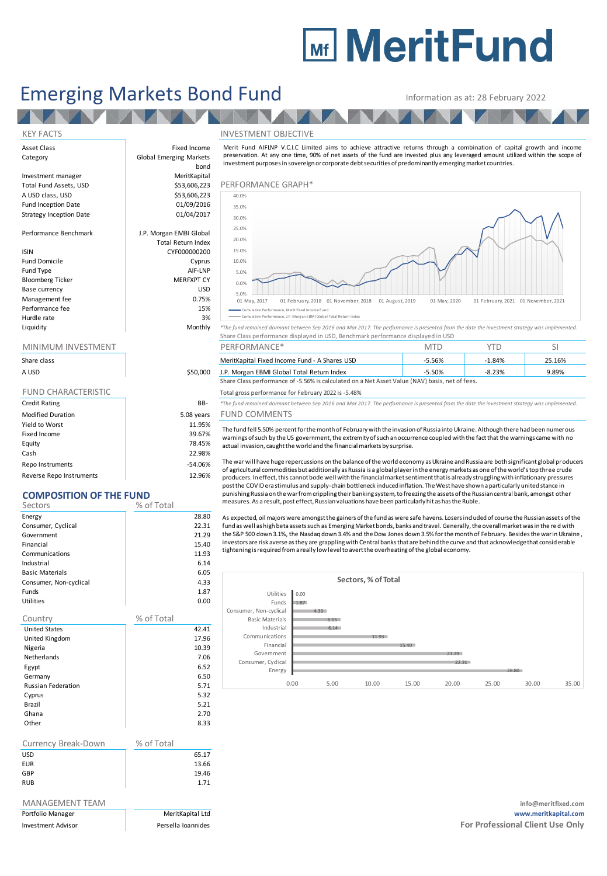# **Mir MeritFund**

## Emerging Markets Bond Fund Information as at: 28 February 2022

**EN** 

**TANA** 

bond

AV A

Asset Class **Fixed Income Category** Fixed Income Category **Fixed Income Category** 

Investment manager MeritKapital A USD class, USD  $$53,606,223$ <br>Fund Inception Date  $$01/09/2016$ Fund Inception Date **12 bis 1200 million**<br>Strategy Inception Date 1986 million 01/04/2017 Strategy Inception Date

Performance Benchmark J.P. Morgan EMBI Global

#### ISIN CYF000000200

Fund Domicile **Cyprus** Fund Type AIF-LNP<br>Bloomberg Ticker AIF-LNP MERFXPT CY Bloomberg Ticker Base currency USD Management fee between the contraction of the contraction of the contraction of the contraction of the contraction of the contraction of the contraction of the contraction of the contraction of the contraction of the contr Performance fee 15% and 15% and 15% and 15% and 15% and 15% and 15% and 15% and 15% and 15% and 15% and 15% and 15% and 15% and 15% and 15% and 15% and 15% and 15% and 15% and 15% and 15% and 15% and 15% and 15% and 15% an Hurdle rate and the state of the state of the state of the state of the state of the state of the state of the<br>All the state of the state of the state of the state of the state of the state of the state of the state of th

| Share class                |            |
|----------------------------|------------|
| A USD                      | \$50,000   |
|                            |            |
| <b>FUND CHARACTERISTIC</b> |            |
| <b>Credit Rating</b>       | BB-        |
| <b>Modified Duration</b>   | 5.08 years |
| Yield to Worst             | 11.95%     |
| Fixed Income               | 39.67%     |
| Equity                     | 78.45%     |
| Cash                       | 22.98%     |

Repo Instruments and the set of the set of the set of the set of the set of the set of the set of the set of the set of the set of the set of the set of the set of the set of the set of the set of the set of the set of the Reverse Repo Instruments 12.96%

## **COMPOSITION OF THE FUND**

| Sectors                | % of Total |       |
|------------------------|------------|-------|
| Energy                 |            | 28.80 |
| Consumer, Cyclical     |            | 22.31 |
| Government             |            | 21.29 |
| Financial              |            | 15.40 |
| Communications         |            | 11.93 |
| Industrial             |            | 6.14  |
| <b>Basic Materials</b> |            | 6.05  |
| Consumer, Non-cyclical |            | 4.33  |
| <b>Funds</b>           |            | 1.87  |
| <b>Utilities</b>       |            | 0.00  |
| Country                | % of Total |       |
| <b>United States</b>   |            | 42.41 |
| United Kingdom         |            | 17.96 |
| Nigeria                |            | 10.39 |
| Netherlands            |            | 7 06  |

| Netherlands               | 7.06 |
|---------------------------|------|
| Egypt                     | 6.52 |
| Germany                   | 6.50 |
| <b>Russian Federation</b> | 5.71 |
| Cyprus                    | 5.32 |
| Brazil                    | 5.21 |
| Ghana                     | 2.70 |
| Other                     | 8.33 |

| Currency Break-Down | % of Total |
|---------------------|------------|
| <b>USD</b>          | 65.17      |
| <b>EUR</b>          | 13.66      |
| GBP                 | 19.46      |
| <b>RUB</b>          | 1.71       |

| MANAGEMENT TEAM |  |
|-----------------|--|
|                 |  |

#### KEY FACTS INVESTMENT OBJECTIVE



Merit Fund AIFLNP V.C.I.C Limited aims to achieve attractive returns through a combination of capital growth and income

| Liquidity | Monthly | *The fund remained dormant between Sep 2016 and Mar 2017. The performance is presented from the date the investment strategy was implemented. |  |  |  |
|-----------|---------|-----------------------------------------------------------------------------------------------------------------------------------------------|--|--|--|
|           |         | Share Class performance displayed in USD, Benchmark performance displayed in USD                                                              |  |  |  |
|           |         |                                                                                                                                               |  |  |  |

| Share class |          | MeritKapital Fixed Income Fund - A Shares USD                                                  | $-5.56%$ | 1.84%    | 25.16% |  |
|-------------|----------|------------------------------------------------------------------------------------------------|----------|----------|--------|--|
| A USD       | \$50,000 | J.P. Morgan EBMI Global Total Return Index                                                     | $-5.50%$ | $-8.23%$ | 9.89%  |  |
|             |          | Share Class performance of -5.56% is calculated on a Net Asset Value (NAV) basis, net of fees. |          |          |        |  |

Total gross performance for February 2022 is -5.48%

Credit Rating BB- *\*The fund remained dormant between Sep 2016 and Mar 2017. The performance is presented from the date the investment strategy was implemented.*

### ears FUND COMMENTS

The fund fell 5.50% percent for the month of February with the invasion of Russia into Ukraine. Although there had been numerous warnings of such by the US government, the extremity of such an occurrence coupled with the fact that the warnings came with no actual invasion, caught the world and the financial markets by surprise.

The war will have huge repercussions on the balance of the world economy as Ukraine and Russia are both significant global producers of agricultural commodities but additionally as Russia is a global player in the energy markets as one of the world's top three crude producers. In effect, this cannot bode well with the financial market sentiment that is already struggling with inflationary pressures post the COVID era stimulus and supply-chain bottleneck induced inflation. The West have shown a particularly united stance in punishing Russia on the war from crippling their banking system, to freezing the assets of the Russian central bank, amongst other measures. As a result, post effect, Russian valuations have been particularly hit as has the Ruble.

As expected, oil majors were amongst the gainers of the fund as were safe havens. Losers included of course the Russian assets of the fund as well as high beta assets such as Emerging Market bonds, banks and travel. Generally, the overall market was in the re d with the S&P 500 down 3.1%, the Nasdaq down 3.4% and the Dow Jones down 3.5% for the month of February. Besides the war in Ukraine , investors are risk averse as they are grappling with Central banks that are behind the curve and that acknowledge that considerable tightening is required from a really low level to avert the overheating of the global economy.